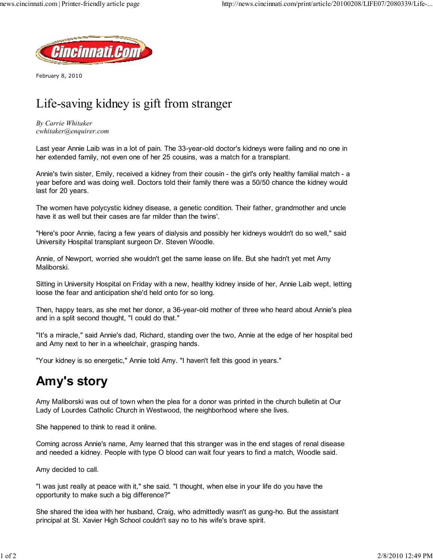

February 8, 2010

## Life-saving kidney is gift from stranger

By Carrie Whitaker cwhitaker@enquirer.com

Last year Annie Laib was in a lot of pain. The 33-year-old doctor's kidneys were failing and no one in her extended family, not even one of her 25 cousins, was a match for a transplant.

Annie's twin sister, Emily, received a kidney from their cousin - the girl's only healthy familial match - a year before and was doing well. Doctors told their family there was a 50/50 chance the kidney would last for 20 years.

The women have polycystic kidney disease, a genetic condition. Their father, grandmother and uncle have it as well but their cases are far milder than the twins'.

"Here's poor Annie, facing a few years of dialysis and possibly her kidneys wouldn't do so well," said University Hospital transplant surgeon Dr. Steven Woodle.

Annie, of Newport, worried she wouldn't get the same lease on life. But she hadn't yet met Amy Maliborski.

Sitting in University Hospital on Friday with a new, healthy kidney inside of her, Annie Laib wept, letting loose the fear and anticipation she'd held onto for so long.

Then, happy tears, as she met her donor, a 36-year-old mother of three who heard about Annie's plea and in a split second thought, "I could do that."

"It's a miracle," said Annie's dad, Richard, standing over the two, Annie at the edge of her hospital bed and Amy next to her in a wheelchair, grasping hands.

"Your kidney is so energetic," Annie told Amy. "I haven't felt this good in years."

## Amy's story

Amy Maliborski was out of town when the plea for a donor was printed in the church bulletin at Our Lady of Lourdes Catholic Church in Westwood, the neighborhood where she lives.

She happened to think to read it online.

Coming across Annie's name, Amy learned that this stranger was in the end stages of renal disease and needed a kidney. People with type O blood can wait four years to find a match, Woodle said.

Amy decided to call.

"I was just really at peace with it," she said. "I thought, when else in your life do you have the opportunity to make such a big difference?"

She shared the idea with her husband, Craig, who admittedly wasn't as gung-ho. But the assistant principal at St. Xavier High School couldn't say no to his wife's brave spirit.